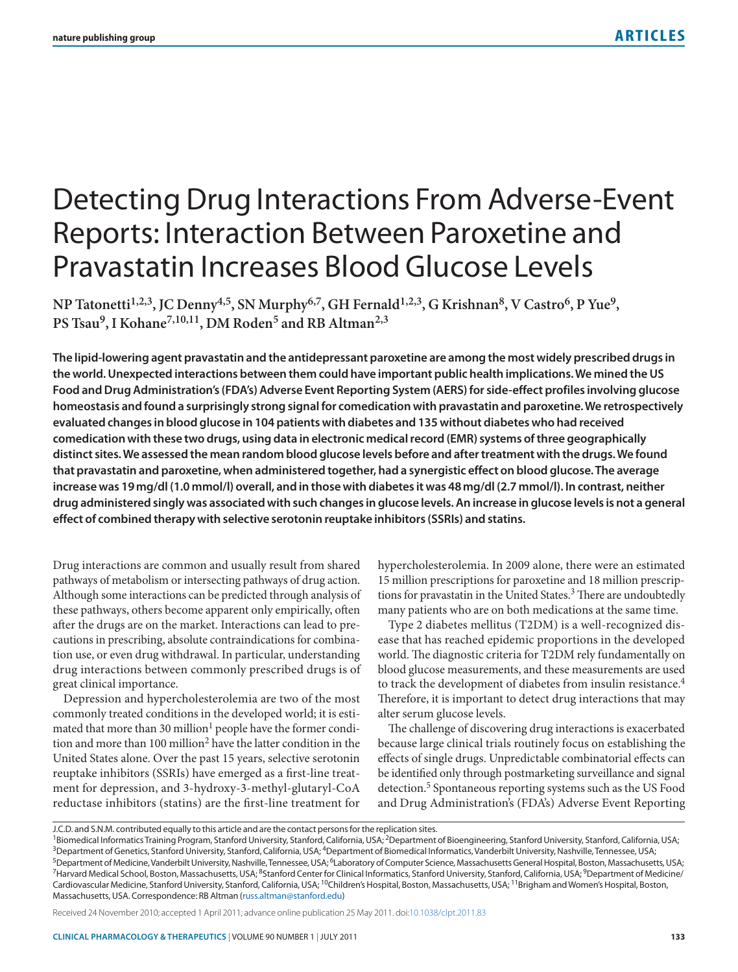# Detecting Drug Interactions From Adverse-Event Reports: Interaction Between Paroxetine and Pravastatin Increases Blood Glucose Levels

NP Tatonetti<sup>1,2,3</sup>, JC Denny<sup>4,5</sup>, SN Murphy<sup>6,7</sup>, GH Fernald<sup>1,2,3</sup>, G Krishnan<sup>8</sup>, V Castro<sup>6</sup>, P Yue<sup>9</sup>, PS Tsau<sup>9</sup>, I Kohane<sup>7, 10, 11</sup>, DM Roden<sup>5</sup> and RB Altman<sup>2, 3</sup>

**The lipid-lowering agent pravastatin and the antidepressant paroxetine are among the most widely prescribed drugs in the world. unexpected interactions between them could have important public health implications. We mined the us**  Food and Drug Administration's (FDA's) Adverse Event Reporting System (AERS) for side-effect profiles involving glucose **homeostasis and found a surprisingly strong signal for comedication with pravastatin and paroxetine. We retrospectively evaluated changes in blood glucose in 104 patients with diabetes and 135 without diabetes who had received**  comedication with these two drugs, using data in electronic medical record (EMR) systems of three geographically **distinct sites. We assessed the mean random blood glucose levels before and after treatment with the drugs. We found that pravastatin and paroxetine, when administered together, had a synergistic effect on blood glucose. The average increase was 19 mg/dl (1.0 mmol/l) overall, and in those with diabetes it was 48 mg/dl (2.7 mmol/l). in contrast, neither drug administered singly was associated with such changes in glucose levels. an increase in glucose levels is not a general effect of combined therapy with selective serotonin reuptake inhibitors (ssris) and statins.**

Drug interactions are common and usually result from shared hypercholesterolemia. In 2009 alone, there were an estimated pathways of metabolism or intersecting pathways of drug action. 15 million prescriptions for paroxetine and 18 million prescrip-Although some interactions can be predicted through analysis of tions for pravastatin in the United States.<sup>3</sup> There are undoubtedly these pathways, others become apparent only empirically, often many patients who are on both medications at the same time. after the drugs are on the market. Interactions can lead to pre- Type 2 diabetes mellitus (T2DM) is a well-recognized discautions in prescribing, absolute contraindications for combina- ease that has reached epidemic proportions in the developed tion use, or even drug withdrawal. In particular, understanding world. The diagnostic criteria for T2DM rely fundamentally on drug interactions between commonly prescribed drugs is of blood glucose measurements, and these measurements are used great clinical importance. to track the development of diabetes from insulin resistance.<sup>4</sup>

commonly treated conditions in the developed world; it is esti- alter serum glucose levels. mated that more than 30 million<sup>1</sup> people have the former condi-<br>The challenge of discovering drug interactions is exacerbated

Depression and hypercholesterolemia are two of the most Therefore, it is important to detect drug interactions that may

tion and more than 100 million<sup>2</sup> have the latter condition in the because large clinical trials routinely focus on establishing the United States alone. Over the past 15 years, selective serotonin effects of single drugs. Unpredictable combinatorial effects can reuptake inhibitors (SSRIs) have emerged as a first-line treat- be identified only through postmarketing surveillance and signal ment for depression, and 3-hydroxy-3-methyl-glutaryl-CoA detection.<sup>5</sup> Spontaneous reporting systems such as the US Food reductase inhibitors (statins) are the first-line treatment for and Drug Administration's (FDA's) Adverse Event Reporting

Received 24 November 2010; accepted 1 April 2011; advance online publication 25 May 2011. doi:10.1038/clpt.2011.83

J.C.D. and S.N.M. contributed equally to this article and are the contact persons for the replication sites.

<sup>&</sup>lt;sup>1</sup>Biomedical Informatics Training Program, Stanford University, Stanford, California, USA; <sup>2</sup>Department of Bioengineering, Stanford University, Stanford, California, USA; <sup>3</sup>Department of Genetics, Stanford University, Stanford, California, USA; <sup>4</sup>Department of Biomedical Informatics, Vanderbilt University, Nashville, Tennessee, USA; <sup>5</sup>Department of Medicine, Vanderbilt University, Nashville, Tennessee, USA; <sup>6</sup>Laboratory of Computer Science, Massachusetts General Hospital, Boston, Massachusetts, USA; <sup>7</sup>Harvard Medical School, Boston, Massachusetts, USA; <sup>8</sup>Stanford Center for Clinical Informatics, Stanford University, Stanford, California, USA; <sup>9</sup>Department of Medicine/ Cardiovascular Medicine, Stanford University, Stanford, California, USA; <sup>10</sup>Children's Hospital, Boston, Massachusetts, USA; <sup>11</sup>Brigham and Women's Hospital, Boston, Massachusetts, USA. Correspondence: RB Altman (russ.altman@stanford.edu)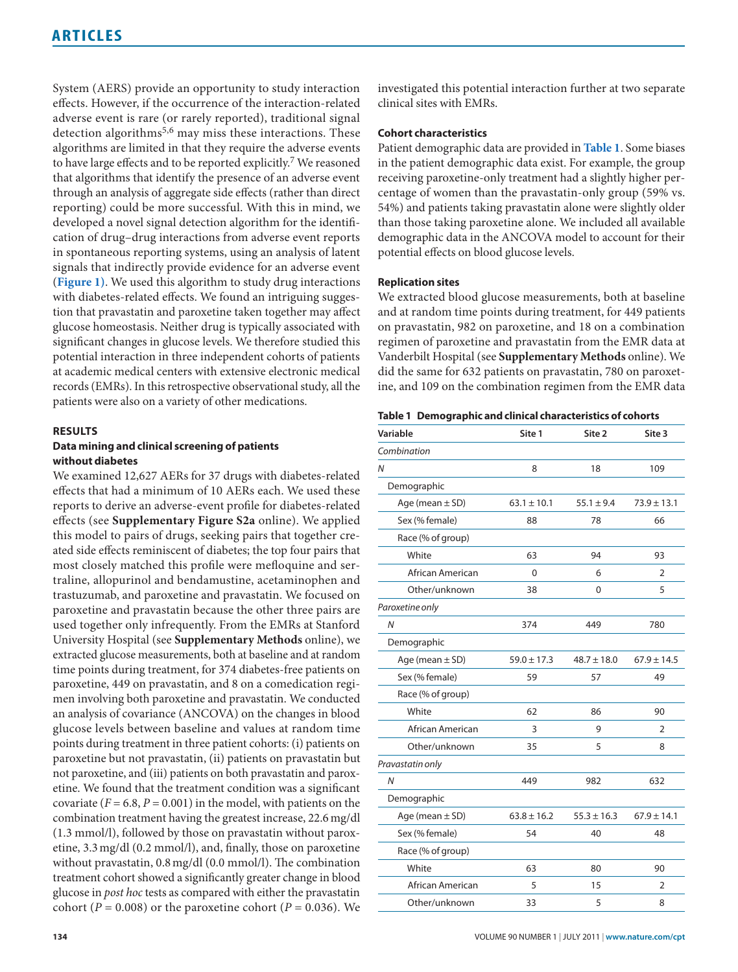effects. However, if the occurrence of the interaction-related clinical sites with EMRs. adverse event is rare (or rarely reported), traditional signal detection algorithms5,6 may miss these interactions. These **Cohort characteristics** algorithms are limited in that they require the adverse events Patient demographic data are provided in **Table 1**. Some biases to have large effects and to be reported explicitly.<sup>7</sup> We reasoned in the patient demographic data exist. For example, the group that algorithms that identify the presence of an adverse event receiving paroxetine-only treatment had a slightly higher perthrough an analysis of aggregate side effects (rather than direct centage of women than the pravastatin-only group (59% vs. cation of drug-drug interactions from adverse event reports demographic data in the ANCOVA model to account for their in spontaneous reporting systems, using an analysis of latent potential effects on blood glucose levels. signals that indirectly provide evidence for an adverse event (**Figure 1)**. We used this algorithm to study drug interactions **Replication sites** with diabetes-related effects. We found an intriguing sugges-<br>We extracted blood glucose measurements, both at baseline tion that pravastatin and paroxetine taken together may affect and at random time points during treatment, for 449 patients glucose homeostasis. Neither drug is typically associated with on pravastatin, 982 on paroxetine, and 18 on a combination significant changes in glucose levels. We therefore studied this regimen of paroxetine and pravastatin from the EMR data at potential interaction in three independent cohorts of patients Vanderbilt Hospital (see **Supplementary Methods** online). We at academic medical centers with extensive electronic medical did the same for 632 patients on pravastatin, 780 on paroxetrecords (EMRs). In this retrospective observational study, all the ine, and 109 on the combination regimen from the EMR data patients were also on a variety of other medications.

### **Results**

### **Data mining and clinical screening of patients without diabetes**

We examined 12,627 AERs for 37 drugs with diabetes-related effects that had a minimum of 10 AERs each. We used these reports to derive an adverse-event profile for diabetes-related effects (see **Supplementary Figure S2a** online). We applied this model to pairs of drugs, seeking pairs that together created side effects reminiscent of diabetes; the top four pairs that most closely matched this profile were mefloquine and sertraline, allopurinol and bendamustine, acetaminophen and trastuzumab, and paroxetine and pravastatin. We focused on paroxetine and pravastatin because the other three pairs are used together only infrequently. From the EMRs at Stanford University Hospital (see **Supplementary Methods** online), we extracted glucose measurements, both at baseline and at random time points during treatment, for 374 diabetes-free patients on paroxetine, 449 on pravastatin, and 8 on a comedication regimen involving both paroxetine and pravastatin. We conducted an analysis of covariance (ANCOVA) on the changes in blood glucose levels between baseline and values at random time points during treatment in three patient cohorts: (i) patients on paroxetine but not pravastatin, (ii) patients on pravastatin but not paroxetine, and (iii) patients on both pravastatin and paroxetine. We found that the treatment condition was a significant covariate  $(F = 6.8, P = 0.001)$  in the model, with patients on the combination treatment having the greatest increase, 22.6 mg/dl (1.3 mmol/l), followed by those on pravastatin without paroxetine, 3.3 mg/dl (0.2 mmol/l), and, finally, those on paroxetine without pravastatin, 0.8 mg/dl (0.0 mmol/l). The combination treatment cohort showed a significantly greater change in blood glucose in *post hoc* tests as compared with either the pravastatin cohort ( $P = 0.008$ ) or the paroxetine cohort ( $P = 0.036$ ). We

System (AERS) provide an opportunity to study interaction investigated this potential interaction further at two separate

reporting) could be more successful. With this in mind, we 54%) and patients taking pravastatin alone were slightly older developed a novel signal detection algorithm for the identifi- than those taking paroxetine alone. We included all available

|  | Table 1 Demographic and clinical characteristics of cohorts |  |
|--|-------------------------------------------------------------|--|
|--|-------------------------------------------------------------|--|

| Variable            | Site 1          | Site 2          | Site 3          |  |
|---------------------|-----------------|-----------------|-----------------|--|
| Combination         |                 |                 |                 |  |
| N                   | 8               | 18              | 109             |  |
| Demographic         |                 |                 |                 |  |
| Age (mean $\pm$ SD) | $63.1 \pm 10.1$ | $55.1 \pm 9.4$  | $73.9 \pm 13.1$ |  |
| Sex (% female)      | 88              | 78              | 66              |  |
| Race (% of group)   |                 |                 |                 |  |
| White               | 63              | 94              | 93              |  |
| African American    | 0               | 6               | 2               |  |
| Other/unknown       | 38              | 0               | 5               |  |
| Paroxetine only     |                 |                 |                 |  |
| $\overline{N}$      | 374             | 449             | 780             |  |
| Demographic         |                 |                 |                 |  |
| Age (mean $\pm$ SD) | $59.0 \pm 17.3$ | $48.7 \pm 18.0$ | $67.9 \pm 14.5$ |  |
| Sex (% female)      | 59              | 57              | 49              |  |
| Race (% of group)   |                 |                 |                 |  |
| White               | 62              | 86              | 90              |  |
| African American    | 3               | 9               | 2               |  |
| Other/unknown       | 35              | 5               | 8               |  |
| Pravastatin only    |                 |                 |                 |  |
| N                   | 449             | 982             | 632             |  |
| Demographic         |                 |                 |                 |  |
| Age (mean $\pm$ SD) | $63.8 \pm 16.2$ | $55.3 \pm 16.3$ | $67.9 \pm 14.1$ |  |
| Sex (% female)      | 54              | 40              | 48              |  |
| Race (% of group)   |                 |                 |                 |  |
| White               | 63              | 80              | 90              |  |
| African American    | 5               | 15              | 2               |  |
| Other/unknown       | 33              | 5               | 8               |  |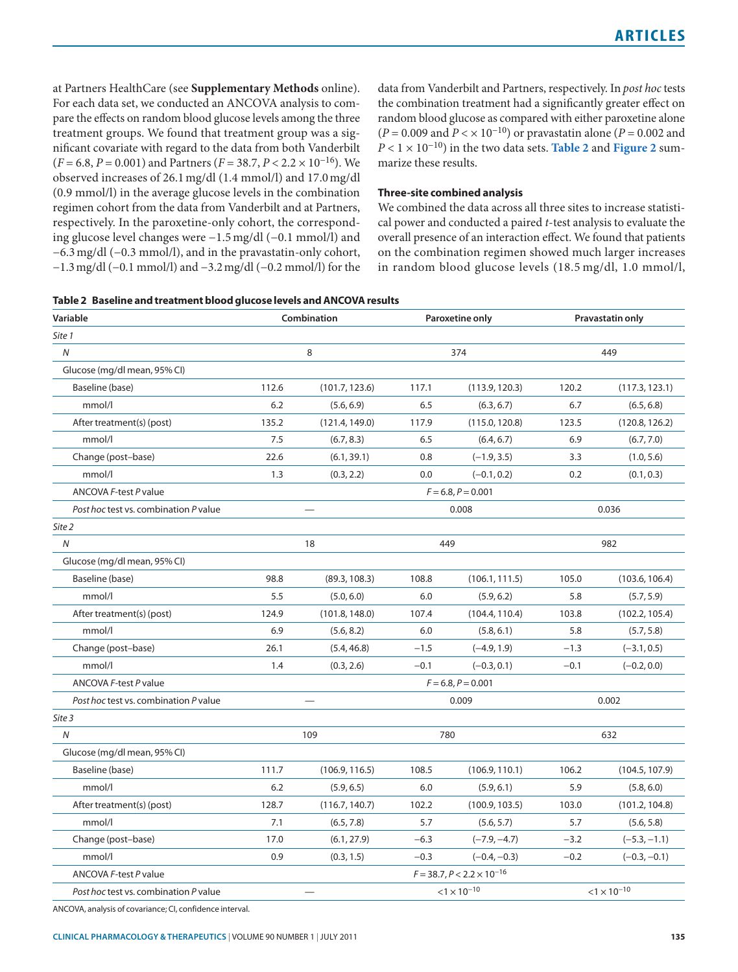at Partners HealthCare (see **Supplementary Methods** online). data from Vanderbilt and Partners, respectively. In *post hoc* tests For each data set, we conducted an ANCOVA analysis to com- the combination treatment had a significantly greater effect on pare the effects on random blood glucose levels among the three random blood glucose as compared with either paroxetine alone treatment groups. We found that treatment group was a sig-<br>nificant covariate with regard to the data from both Vanderbilt  $P < 1 \times 10^{-10}$ ) in the two data sets. Table 2 and Figure 2 sumnificant covariate with regard to the data from both Vanderbilt (*F* = 6.8, *P* = 0.001) and Partners (*F* = 38.7, *P* < 2.2 × 10−16). We marize these results. observed increases of 26.1 mg/dl (1.4 mmol/l) and 17.0 mg/dl (0.9 mmol/l) in the average glucose levels in the combination **three-site combined analysis** regimen cohort from the data from Vanderbilt and at Partners, We combined the data across all three sites to increase statistirespectively. In the paroxetine-only cohort, the correspond- cal power and conducted a paired *t*-test analysis to evaluate the ing glucose level changes were −1.5 mg/dl (−0.1 mmol/l) and overall presence of an interaction effect. We found that patients −6.3 mg/dl (−0.3 mmol/l), and in the pravastatin-only cohort, on the combination regimen showed much larger increases −1.3 mg/dl (−0.1 mmol/l) and −3.2 mg/dl (−0.2 mmol/l) for the in random blood glucose levels (18.5 mg/dl, 1.0 mmol/l,

### **table 2 Baseline and treatment blood glucose levels and ANCOVA results**

| Variable                              | Combination          |                | Paroxetine only       |                                     | Pravastatin only      |                |
|---------------------------------------|----------------------|----------------|-----------------------|-------------------------------------|-----------------------|----------------|
| Site 1                                |                      |                |                       |                                     |                       |                |
| $\overline{N}$                        | 8                    |                |                       | 374                                 | 449                   |                |
| Glucose (mg/dl mean, 95% Cl)          |                      |                |                       |                                     |                       |                |
| Baseline (base)                       | 112.6                | (101.7, 123.6) | 117.1                 | (113.9, 120.3)                      | 120.2                 | (117.3, 123.1) |
| mmol/l                                | 6.2                  | (5.6, 6.9)     | 6.5                   | (6.3, 6.7)                          | 6.7                   | (6.5, 6.8)     |
| After treatment(s) (post)             | 135.2                | (121.4, 149.0) | 117.9                 | (115.0, 120.8)                      | 123.5                 | (120.8, 126.2) |
| mmol/l                                | 7.5                  | (6.7, 8.3)     | 6.5                   | (6.4, 6.7)                          | 6.9                   | (6.7, 7.0)     |
| Change (post-base)                    | 22.6                 | (6.1, 39.1)    | 0.8                   | $(-1.9, 3.5)$                       | 3.3                   | (1.0, 5.6)     |
| mmol/l                                | 1.3                  | (0.3, 2.2)     | 0.0                   | $(-0.1, 0.2)$                       | 0.2                   | (0.1, 0.3)     |
| ANCOVA F-test P value                 | $F = 6.8, P = 0.001$ |                |                       |                                     |                       |                |
| Post hoc test vs. combination P value |                      |                |                       | 0.008                               | 0.036                 |                |
| Site 2                                |                      |                |                       |                                     |                       |                |
| $\overline{N}$                        | 18                   |                | 449                   |                                     | 982                   |                |
| Glucose (mg/dl mean, 95% Cl)          |                      |                |                       |                                     |                       |                |
| Baseline (base)                       | 98.8                 | (89.3, 108.3)  | 108.8                 | (106.1, 111.5)                      | 105.0                 | (103.6, 106.4) |
| mmol/l                                | 5.5                  | (5.0, 6.0)     | 6.0                   | (5.9, 6.2)                          | 5.8                   | (5.7, 5.9)     |
| After treatment(s) (post)             | 124.9                | (101.8, 148.0) | 107.4                 | (104.4, 110.4)                      | 103.8                 | (102.2, 105.4) |
| mmol/l                                | 6.9                  | (5.6, 8.2)     | 6.0                   | (5.8, 6.1)                          | 5.8                   | (5.7, 5.8)     |
| Change (post-base)                    | 26.1                 | (5.4, 46.8)    | $-1.5$                | $(-4.9, 1.9)$                       | $-1.3$                | $(-3.1, 0.5)$  |
| mmol/l                                | 1.4                  | (0.3, 2.6)     | $-0.1$                | $(-0.3, 0.1)$                       | $-0.1$                | $(-0.2, 0.0)$  |
| ANCOVA F-test P value                 |                      |                | $F = 6.8, P = 0.001$  |                                     |                       |                |
| Post hoc test vs. combination P value |                      |                | 0.009                 |                                     | 0.002                 |                |
| Site 3                                |                      |                |                       |                                     |                       |                |
| $\overline{N}$                        | 109                  |                | 780                   |                                     | 632                   |                |
| Glucose (mg/dl mean, 95% Cl)          |                      |                |                       |                                     |                       |                |
| Baseline (base)                       | 111.7                | (106.9, 116.5) | 108.5                 | (106.9, 110.1)                      | 106.2                 | (104.5, 107.9) |
| mmol/l                                | 6.2                  | (5.9, 6.5)     | 6.0                   | (5.9, 6.1)                          | 5.9                   | (5.8, 6.0)     |
| After treatment(s) (post)             | 128.7                | (116.7, 140.7) | 102.2                 | (100.9, 103.5)                      | 103.0                 | (101.2, 104.8) |
| mmol/l                                | 7.1                  | (6.5, 7.8)     | 5.7                   | (5.6, 5.7)                          | 5.7                   | (5.6, 5.8)     |
| Change (post-base)                    | 17.0                 | (6.1, 27.9)    | $-6.3$                | $(-7.9, -4.7)$                      | $-3.2$                | $(-5.3, -1.1)$ |
| mmol/l                                | 0.9                  | (0.3, 1.5)     | $-0.3$                | $(-0.4, -0.3)$                      | $-0.2$                | $(-0.3, -0.1)$ |
| ANCOVA F-test P value                 |                      |                |                       | $F = 38.7, P < 2.2 \times 10^{-16}$ |                       |                |
| Post hoc test vs. combination P value |                      |                | $< 1 \times 10^{-10}$ |                                     | $< 1 \times 10^{-10}$ |                |

ANCOVA, analysis of covariance; CI, confidence interval.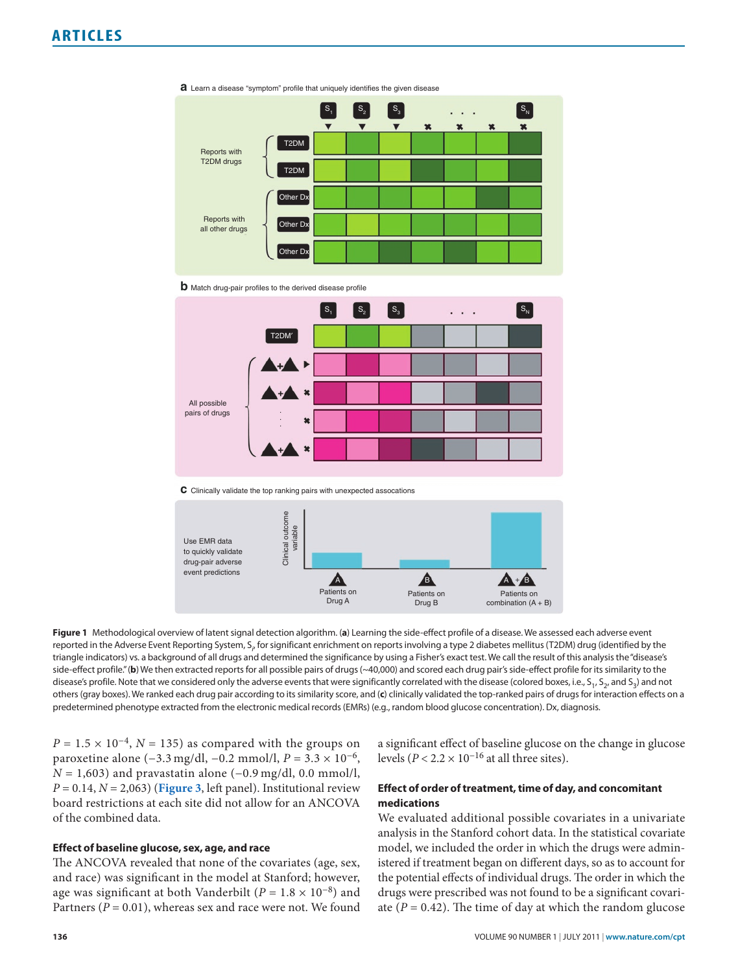

Learn a disease "symptom" profile that uniquely identifies the given disease **a**





**C** Clinically validate the top ranking pairs with unexpected assocations



**Figure 1** Methodological overview of latent signal detection algorithm. (**a**) Learning the side-effect profile of a disease. We assessed each adverse event reported in the Adverse Event Reporting System, S<sub>i</sub>, for significant enrichment on reports involving a type 2 diabetes mellitus (T2DM) drug (identified by the triangle indicators) vs. a background of all drugs and determined the significance by using a Fisher's exact test. We call the result of this analysis the "disease's side-effect profile." (b) We then extracted reports for all possible pairs of drugs (~40,000) and scored each drug pair's side-effect profile for its similarity to the disease's profile. Note that we considered only the adverse events that were significantly correlated with the disease (colored boxes, i.e.,  $S_1$ ,  $S_2$ , and  $S_3$ ) and not others (gray boxes). We ranked each drug pair according to its similarity score, and (**c**) clinically validated the top-ranked pairs of drugs for interaction effects on a predetermined phenotype extracted from the electronic medical records (EMRs) (e.g., random blood glucose concentration). Dx, diagnosis.

paroxetine alone (−3.3 mg/dl, −0.2 mmol/l, *P* = 3.3 × 10<sup>-6</sup>, *N* = 1,603) and pravastatin alone (−0.9 mg/dl, 0.0 mmol/l, *P* = 0.14, *N* = 2,063) (**Figure 3**, left panel). Institutional review **effect of order of treatment, time of day, and concomitant**  board restrictions at each site did not allow for an ANCOVA **medications** of the combined data. We evaluated additional possible covariates in a univariate

and race) was significant in the model at Stanford; however, the potential effects of individual drugs. The order in which the age was significant at both Vanderbilt ( $P = 1.8 \times 10^{-8}$ ) and drugs were prescribed was not found to be a significant covari-Partners ( $P = 0.01$ ), whereas sex and race were not. We found ate ( $P = 0.42$ ). The time of day at which the random glucose

*P* = 1.5 × 10<sup>-4</sup>, *N* = 135) as compared with the groups on a significant effect of baseline glucose on the change in glucose paroxetine alone (-3.3 mg/dl, -0.2 mmol/l, *P* = 3.3 × 10<sup>-6</sup>, levels (*P* < 2.2 × 10<sup>-16</sup> at

analysis in the Stanford cohort data. In the statistical covariate **Effect of baseline glucose, sex, age, and race** model, we included the order in which the drugs were admin-The ANCOVA revealed that none of the covariates (age, sex, istered if treatment began on different days, so as to account for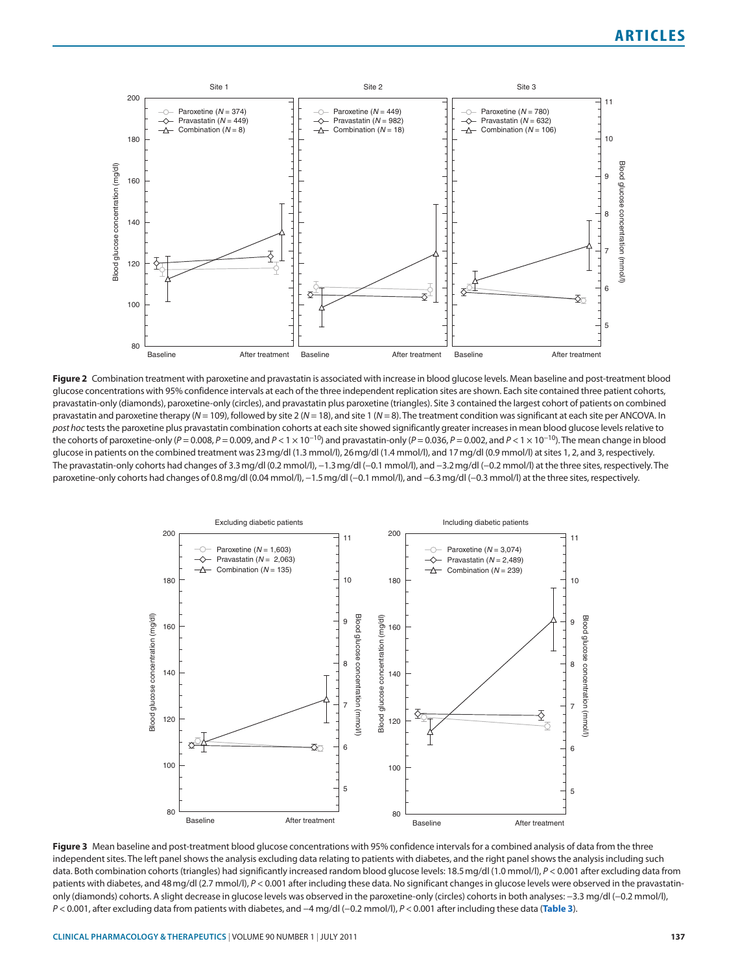

Figure 2 Combination treatment with paroxetine and pravastatin is associated with increase in blood glucose levels. Mean baseline and post-treatment blood glucose concentrations with 95% confidence intervals at each of the three independent replication sites are shown. Each site contained three patient cohorts, pravastatin-only (diamonds), paroxetine-only (circles), and pravastatin plus paroxetine (triangles). Site 3 contained the largest cohort of patients on combined pravastatin and paroxetine therapy (*N* = 109), followed by site 2 (*N* = 18), and site 1 (*N* = 8). The treatment condition was significant at each site per ANCOVA. In *post hoc* tests the paroxetine plus pravastatin combination cohorts at each site showed significantly greater increases in mean blood glucose levels relative to the cohorts of paroxetine-only (*P* = 0.008, *P* = 0.009, and *P* < 1 × 10−10) and pravastatin-only (*P* = 0.036, *P* = 0.002, and *P* < 1 × 10−10). The mean change in blood glucose in patients on the combined treatment was 23 mg/dl (1.3 mmol/l), 26 mg/dl (1.4 mmol/l), and 17 mg/dl (0.9 mmol/l) at sites 1, 2, and 3, respectively. The pravastatin-only cohorts had changes of 3.3 mg/dl (0.2 mmol/l), −1.3 mg/dl (−0.1 mmol/l), and −3.2 mg/dl (−0.2 mmol/l) at the three sites, respectively. The paroxetine-only cohorts had changes of 0.8 mg/dl (0.04 mmol/l), −1.5 mg/dl (−0.1 mmol/l), and −6.3 mg/dl (−0.3 mmol/l) at the three sites, respectively.



Figure 3 Mean baseline and post-treatment blood glucose concentrations with 95% confidence intervals for a combined analysis of data from the three independent sites. The left panel shows the analysis excluding data relating to patients with diabetes, and the right panel shows the analysis including such data. Both combination cohorts (triangles) had significantly increased random blood glucose levels: 18.5 mg/dl (1.0 mmol/l), *P* < 0.001 after excluding data from patients with diabetes, and 48 mg/dl (2.7 mmol/l),  $P < 0.001$  after including these data. No significant changes in glucose levels were observed in the pravastatinonly (diamonds) cohorts. A slight decrease in glucose levels was observed in the paroxetine-only (circles) cohorts in both analyses: −3.3 mg/dl (−0.2 mmol/l), *P* < 0.001, after excluding data from patients with diabetes, and −4 mg/dl (−0.2 mmol/l), *P* < 0.001 after including these data (**table 3**).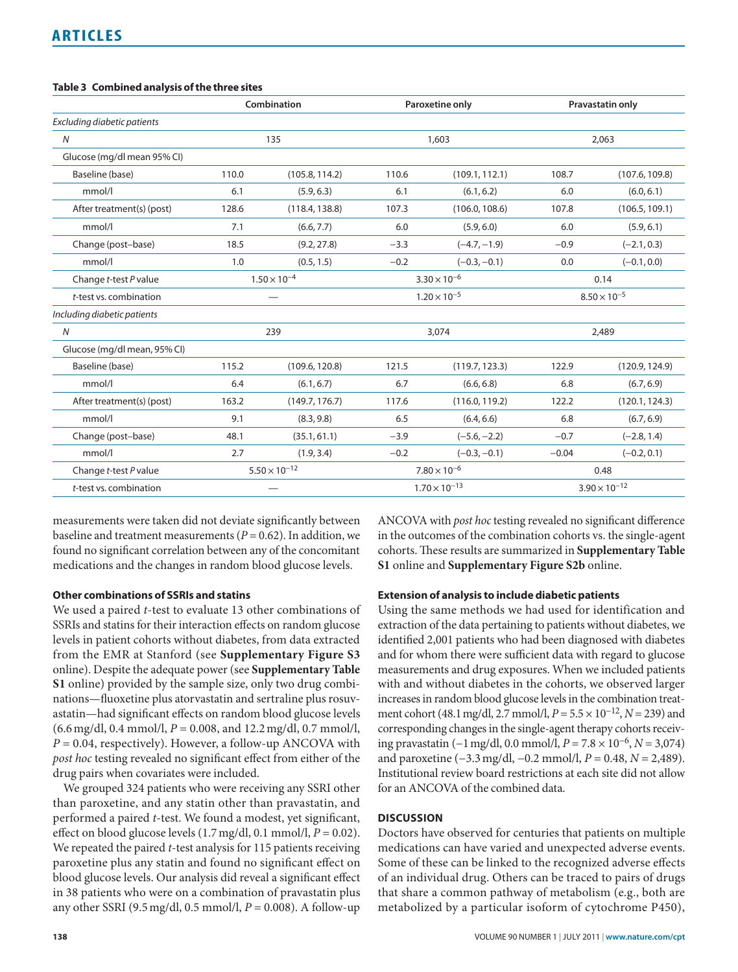### **table 3 Combined analysis of the three sites**

|                              | Combination            |                | Paroxetine only        |                | Pravastatin only       |                |
|------------------------------|------------------------|----------------|------------------------|----------------|------------------------|----------------|
| Excluding diabetic patients  |                        |                |                        |                |                        |                |
| $\overline{N}$               | 135                    |                | 1,603                  |                | 2.063                  |                |
| Glucose (mg/dl mean 95% Cl)  |                        |                |                        |                |                        |                |
| Baseline (base)              | 110.0                  | (105.8, 114.2) | 110.6                  | (109.1, 112.1) | 108.7                  | (107.6, 109.8) |
| mmol/l                       | 6.1                    | (5.9, 6.3)     | 6.1                    | (6.1, 6.2)     | 6.0                    | (6.0, 6.1)     |
| After treatment(s) (post)    | 128.6                  | (118.4, 138.8) | 107.3                  | (106.0, 108.6) | 107.8                  | (106.5, 109.1) |
| mmol/l                       | 7.1                    | (6.6, 7.7)     | 6.0                    | (5.9, 6.0)     | 6.0                    | (5.9, 6.1)     |
| Change (post-base)           | 18.5                   | (9.2, 27.8)    | $-3.3$                 | $(-4.7, -1.9)$ | $-0.9$                 | $(-2.1, 0.3)$  |
| mmol/l                       | 1.0                    | (0.5, 1.5)     | $-0.2$                 | $(-0.3, -0.1)$ | 0.0                    | $(-0.1, 0.0)$  |
| Change t-test P value        | $1.50 \times 10^{-4}$  |                | $3.30 \times 10^{-6}$  |                | 0.14                   |                |
| t-test vs. combination       |                        |                | $1.20 \times 10^{-5}$  |                | $8.50 \times 10^{-5}$  |                |
| Including diabetic patients  |                        |                |                        |                |                        |                |
| $\overline{N}$               |                        | 239            | 3,074                  |                | 2,489                  |                |
| Glucose (mg/dl mean, 95% Cl) |                        |                |                        |                |                        |                |
| Baseline (base)              | 115.2                  | (109.6, 120.8) | 121.5                  | (119.7, 123.3) | 122.9                  | (120.9, 124.9) |
| mmol/l                       | 6.4                    | (6.1, 6.7)     | 6.7                    | (6.6, 6.8)     | 6.8                    | (6.7, 6.9)     |
| After treatment(s) (post)    | 163.2                  | (149.7, 176.7) | 117.6                  | (116.0, 119.2) | 122.2                  | (120.1, 124.3) |
| mmol/l                       | 9.1                    | (8.3, 9.8)     | 6.5                    | (6.4, 6.6)     | 6.8                    | (6.7, 6.9)     |
| Change (post-base)           | 48.1                   | (35.1, 61.1)   | $-3.9$                 | $(-5.6, -2.2)$ | $-0.7$                 | $(-2.8, 1.4)$  |
| mmol/l                       | 2.7                    | (1.9, 3.4)     | $-0.2$                 | $(-0.3, -0.1)$ | $-0.04$                | $(-0.2, 0.1)$  |
| Change t-test P value        | $5.50 \times 10^{-12}$ |                | $7.80 \times 10^{-6}$  |                | 0.48                   |                |
| t-test vs. combination       |                        |                | $1.70 \times 10^{-13}$ |                | $3.90 \times 10^{-12}$ |                |

baseline and treatment measurements ( $P = 0.62$ ). In addition, we in the outcomes of the combination cohorts vs. the single-agent found no significant correlation between any of the concomitant cohorts. These results are summarized in **Supplementary Table**  medications and the changes in random blood glucose levels. **S1** online and **Supplementary Figure S2b** online.

online). Despite the adequate power (see **Supplementary Table** measurements and drug exposures. When we included patients **S1** online) provided by the sample size, only two drug combi- with and without diabetes in the cohorts, we observed larger nations—fluoxetine plus atorvastatin and sertraline plus rosuv- increases in random blood glucose levels in the combination treat- $(6.6 \text{ mg/dl}, 0.4 \text{ mmol/l}, P = 0.008, \text{ and } 12.2 \text{ mg/dl}, 0.7 \text{ mmol/l}, \text{ corresponding changes in the single-agent therapy cohorts receiving the current.}$ *post hoc* testing revealed no significant effect from either of the and paroxetine (−3.3 mg/dl, −0.2 mmol/l, *P* = 0.48, *N* = 2,489).

We grouped 324 patients who were receiving any SSRI other for an ANCOVA of the combined data. than paroxetine, and any statin other than pravastatin, and performed a paired *t*-test. We found a modest, yet significant, **DIsCussION** effect on blood glucose levels (1.7 mg/dl, 0.1 mmol/l, *P* = 0.02). Doctors have observed for centuries that patients on multiple We repeated the paired *t*-test analysis for 115 patients receiving medications can have varied and unexpected adverse events. paroxetine plus any statin and found no significant effect on Some of these can be linked to the recognized adverse effects blood glucose levels. Our analysis did reveal a significant effect of an individual drug. Others can be traced to pairs of drugs in 38 patients who were on a combination of pravastatin plus that share a common pathway of metabolism (e.g., both are

measurements were taken did not deviate significantly between ANCOVA with *post hoc* testing revealed no significant difference

### **Other combinations of ssRIs and statins extension of analysis to include diabetic patients**

We used a paired *t*-test to evaluate 13 other combinations of Using the same methods we had used for identification and SSRIs and statins for their interaction effects on random glucose extraction of the data pertaining to patients without diabetes, we levels in patient cohorts without diabetes, from data extracted identified 2,001 patients who had been diagnosed with diabetes from the EMR at Stanford (see **Supplementary Figure S3** and for whom there were sufficient data with regard to glucose astatin—had significant effects on random blood glucose levels ment cohort (48.1 mg/dl, 2.7 mmol/l, *P* = 5.5 × 10−12, *N* = 239) and *P* = 0.04, respectively). However, a follow-up ANCOVA with ing pravastatin (−1 mg/dl, 0.0 mmol/l, *P* = 7.8 × 10<sup>-6</sup>, *N* = 3,074) drug pairs when covariates were included. Institutional review board restrictions at each site did not allow

any other SSRI (9.5 mg/dl, 0.5 mmol/l, *P* = 0.008). A follow-up metabolized by a particular isoform of cytochrome P450),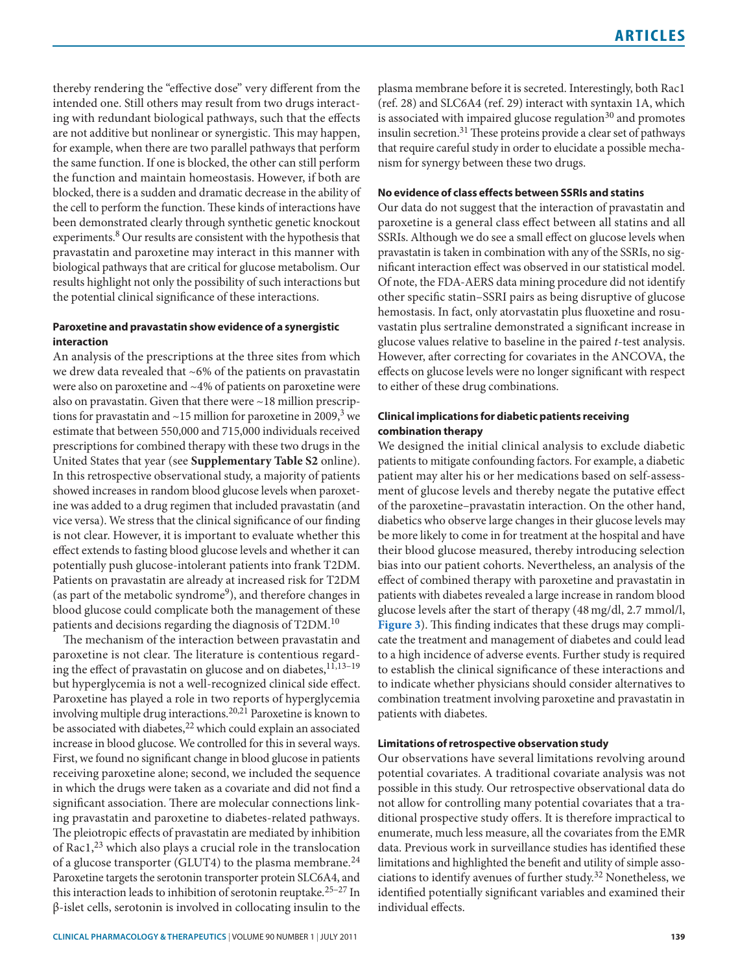for example, when there are two parallel pathways that perform that require careful study in order to elucidate a possible mechathe same function. If one is blocked, the other can still perform nism for synergy between these two drugs. the function and maintain homeostasis. However, if both are blocked, there is a sudden and dramatic decrease in the ability of **No evidence of class effects between ssRIs and statins** the cell to perform the function. These kinds of interactions have Our data do not suggest that the interaction of pravastatin and been demonstrated clearly through synthetic genetic knockout paroxetine is a general class effect between all statins and all experiments.<sup>8</sup> Our results are consistent with the hypothesis that SSRIs. Although we do see a small effect on glucose levels when pravastatin and paroxetine may interact in this manner with pravastatin is taken in combination with any of the SSRIs, no sigbiological pathways that are critical for glucose metabolism. Our nificant interaction effect was observed in our statistical model. results highlight not only the possibility of such interactions but Of note, the FDA-AERS data mining procedure did not identify the potential clinical significance of these interactions. other specific statin–SSRI pairs as being disruptive of glucose

An analysis of the prescriptions at the three sites from which However, after correcting for covariates in the ANCOVA, the we drew data revealed that ~6% of the patients on pravastatin effects on glucose levels were no longer significant with respect were also on paroxetine and  $\sim$ 4% of patients on paroxetine were to either of these drug combinations. also on pravastatin. Given that there were ~18 million prescriptions for pravastatin and  $\sim$ 15 million for paroxetine in 2009, $3$  we **Clinical implications for diabetic patients receiving** estimate that between 550,000 and 715,000 individuals received **combination therapy** prescriptions for combined therapy with these two drugs in the We designed the initial clinical analysis to exclude diabetic United States that year (see **Supplementary Table S2** online). patients to mitigate confounding factors. For example, a diabetic In this retrospective observational study, a majority of patients patient may alter his or her medications based on self-assessshowed increases in random blood glucose levels when paroxet- ment of glucose levels and thereby negate the putative effect ine was added to a drug regimen that included pravastatin (and of the paroxetine–pravastatin interaction. On the other hand, vice versa). We stress that the clinical significance of our finding diabetics who observe large changes in their glucose levels may is not clear. However, it is important to evaluate whether this be more likely to come in for treatment at the hospital and have effect extends to fasting blood glucose levels and whether it can their blood glucose measured, thereby introducing selection potentially push glucose-intolerant patients into frank T2DM. bias into our patient cohorts. Nevertheless, an analysis of the Patients on pravastatin are already at increased risk for T2DM effect of combined therapy with paroxetine and pravastatin in blood glucose could complicate both the management of these glucose levels after the start of therapy (48 mg/dl, 2.7 mmol/l, patients and decisions regarding the diagnosis of T2DM.<sup>10</sup> **Figure 3**). This finding indicates that these drugs may compli-

ing the effect of pravastatin on glucose and on diabetes,<sup>11,13-19</sup> to establish the clinical significance of these interactions and but hyperglycemia is not a well-recognized clinical side effect. to indicate whether physicians should consider alternatives to Paroxetine has played a role in two reports of hyperglycemia combination treatment involving paroxetine and pravastatin in involving multiple drug interactions.<sup>20,21</sup> Paroxetine is known to patients with diabetes. be associated with diabetes,<sup>22</sup> which could explain an associated increase in blood glucose. We controlled for this in several ways. **limitations of retrospective observation study** First, we found no significant change in blood glucose in patients Our observations have several limitations revolving around receiving paroxetine alone; second, we included the sequence potential covariates. A traditional covariate analysis was not in which the drugs were taken as a covariate and did not find a possible in this study. Our retrospective observational data do significant association. There are molecular connections link- not allow for controlling many potential covariates that a traing pravastatin and paroxetine to diabetes-related pathways. ditional prospective study offers. It is therefore impractical to The pleiotropic effects of pravastatin are mediated by inhibition enumerate, much less measure, all the covariates from the EMR of Rac1,23 which also plays a crucial role in the translocation data. Previous work in surveillance studies has identified these of a glucose transporter (GLUT4) to the plasma membrane.<sup>24</sup> limitations and highlighted the benefit and utility of simple asso-Paroxetine targets the serotonin transporter protein SLC6A4, and ciations to identify avenues of further study.<sup>32</sup> Nonetheless, we this interaction leads to inhibition of serotonin reuptake.<sup>25-27</sup> In identified potentially significant variables and examined their β-islet cells, serotonin is involved in collocating insulin to the individual effects.

thereby rendering the "effective dose" very different from the plasma membrane before it is secreted. Interestingly, both Rac1 intended one. Still others may result from two drugs interact- (ref. 28) and SLC6A4 (ref. 29) interact with syntaxin 1A, which ing with redundant biological pathways, such that the effects is associated with impaired glucose regulation $30$  and promotes are not additive but nonlinear or synergistic. This may happen, insulin secretion.<sup>31</sup> These proteins provide a clear set of pathways

hemostasis. In fact, only atorvastatin plus fluoxetine and rosu-**Paroxetine and pravastatin show evidence of a synergistic** vastatin plus sertraline demonstrated a significant increase in **interaction glucose values relative to baseline in the paired** *t***-test analysis.** 

(as part of the metabolic syndrome<sup>9</sup>), and therefore changes in patients with diabetes revealed a large increase in random blood The mechanism of the interaction between pravastatin and cate the treatment and management of diabetes and could lead paroxetine is not clear. The literature is contentious regard- to a high incidence of adverse events. Further study is required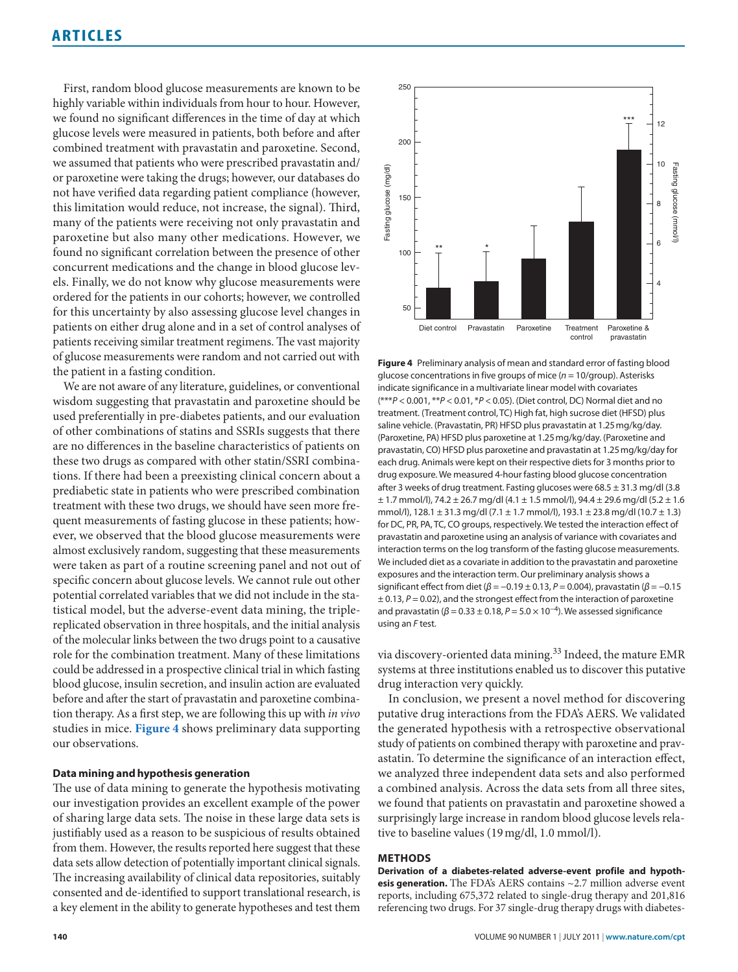First, random blood glucose measurements are known to be highly variable within individuals from hour to hour. However, we found no significant differences in the time of day at which glucose levels were measured in patients, both before and after combined treatment with pravastatin and paroxetine. Second, we assumed that patients who were prescribed pravastatin and/ or paroxetine were taking the drugs; however, our databases do not have verified data regarding patient compliance (however, this limitation would reduce, not increase, the signal). Third, many of the patients were receiving not only pravastatin and paroxetine but also many other medications. However, we found no significant correlation between the presence of other concurrent medications and the change in blood glucose levels. Finally, we do not know why glucose measurements were ordered for the patients in our cohorts; however, we controlled for this uncertainty by also assessing glucose level changes in patients on either drug alone and in a set of control analyses of patients receiving similar treatment regimens. The vast majority of glucose measurements were random and not carried out with the patient in a fasting condition.

We are not aware of any literature, guidelines, or conventional wisdom suggesting that pravastatin and paroxetine should be used preferentially in pre-diabetes patients, and our evaluation of other combinations of statins and SSRIs suggests that there are no differences in the baseline characteristics of patients on these two drugs as compared with other statin/SSRI combinations. If there had been a preexisting clinical concern about a prediabetic state in patients who were prescribed combination treatment with these two drugs, we should have seen more frequent measurements of fasting glucose in these patients; however, we observed that the blood glucose measurements were almost exclusively random, suggesting that these measurements were taken as part of a routine screening panel and not out of specific concern about glucose levels. We cannot rule out other potential correlated variables that we did not include in the statistical model, but the adverse-event data mining, the triplereplicated observation in three hospitals, and the initial analysis of the molecular links between the two drugs point to a causative role for the combination treatment. Many of these limitations could be addressed in a prospective clinical trial in which fasting blood glucose, insulin secretion, and insulin action are evaluated before and after the start of pravastatin and paroxetine combination therapy. As a first step, we are following this up with *in vivo* studies in mice. **Figure 4** shows preliminary data supporting our observations.

### **Data mining and hypothesis generation**

The use of data mining to generate the hypothesis motivating our investigation provides an excellent example of the power of sharing large data sets. The noise in these large data sets is justifiably used as a reason to be suspicious of results obtained from them. However, the results reported here suggest that these data sets allow detection of potentially important clinical signals. The increasing availability of clinical data repositories, suitably consented and de-identified to support translational research, is a key element in the ability to generate hypotheses and test them



**Figure 4** Preliminary analysis of mean and standard error of fasting blood glucose concentrations in five groups of mice (*n* = 10/group). Asterisks indicate significance in a multivariate linear model with covariates (\*\*\**P* < 0.001, \*\**P* < 0.01, \**P* < 0.05). (Diet control, DC) Normal diet and no treatment. (Treatment control, TC) High fat, high sucrose diet (HFSD) plus saline vehicle. (Pravastatin, PR) HFSD plus pravastatin at 1.25 mg/kg/day. (Paroxetine, PA) HFSD plus paroxetine at 1.25 mg/kg/day. (Paroxetine and pravastatin, CO) HFSD plus paroxetine and pravastatin at 1.25 mg/kg/day for each drug. Animals were kept on their respective diets for 3 months prior to drug exposure. We measured 4-hour fasting blood glucose concentration after 3 weeks of drug treatment. Fasting glucoses were 68.5 ± 31.3 mg/dl (3.8  $\pm$  1.7 mmol/l), 74.2  $\pm$  26.7 mg/dl (4.1  $\pm$  1.5 mmol/l), 94.4  $\pm$  29.6 mg/dl (5.2  $\pm$  1.6 mmol/l),  $128.1 \pm 31.3$  mg/dl (7.1  $\pm$  1.7 mmol/l),  $193.1 \pm 23.8$  mg/dl (10.7  $\pm$  1.3) for DC, PR, PA, TC, CO groups, respectively. We tested the interaction effect of pravastatin and paroxetine using an analysis of variance with covariates and interaction terms on the log transform of the fasting glucose measurements. We included diet as a covariate in addition to the pravastatin and paroxetine exposures and the interaction term. Our preliminary analysis shows a significant effect from diet (*β* = −0.19 ± 0.13, *P* = 0.004), pravastatin (*β* = −0.15 ± 0.13, *P* = 0.02), and the strongest effect from the interaction of paroxetine and pravastatin ( $β = 0.33 ± 0.18$ ,  $P = 5.0 × 10<sup>-4</sup>$ ). We assessed significance using an *F* test.

via discovery-oriented data mining.<sup>33</sup> Indeed, the mature EMR systems at three institutions enabled us to discover this putative drug interaction very quickly.

In conclusion, we present a novel method for discovering putative drug interactions from the FDA's AERS. We validated the generated hypothesis with a retrospective observational study of patients on combined therapy with paroxetine and pravastatin. To determine the significance of an interaction effect, we analyzed three independent data sets and also performed a combined analysis. Across the data sets from all three sites, we found that patients on pravastatin and paroxetine showed a surprisingly large increase in random blood glucose levels relative to baseline values (19 mg/dl, 1.0 mmol/l).

### **MethODs**

**Derivation of a diabetes-related adverse-event profile and hypothesis generation.** The FDA's AERS contains ~2.7 million adverse event reports, including 675,372 related to single-drug therapy and 201,816 referencing two drugs. For 37 single-drug therapy drugs with diabetes-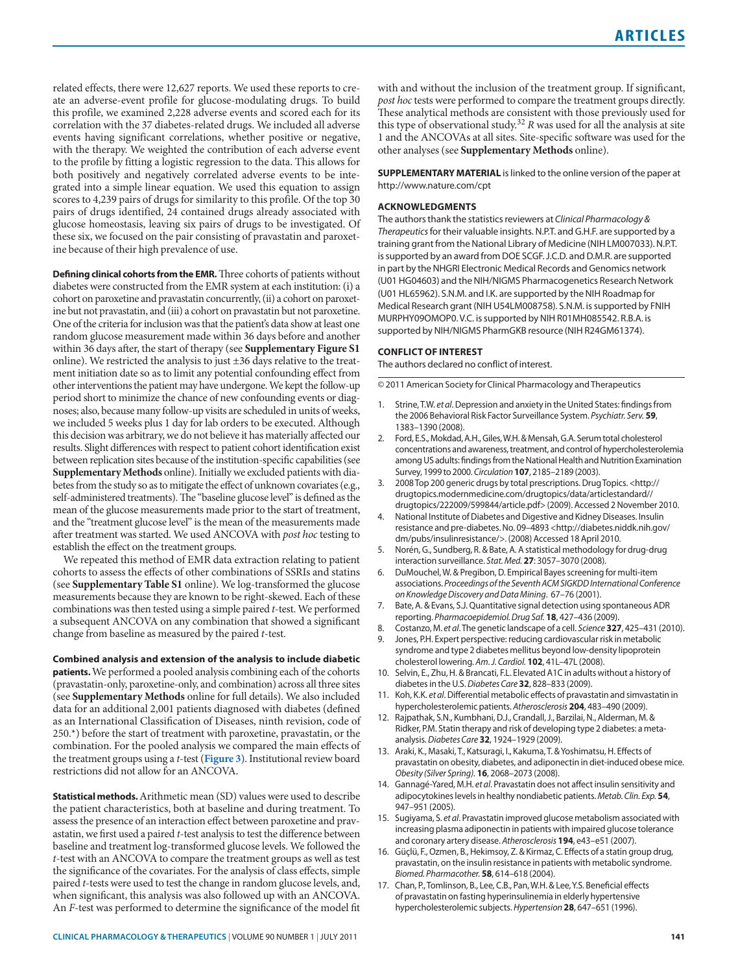related effects, there were 12,627 reports. We used these reports to create an adverse-event profile for glucose-modulating drugs. To build this profile, we examined 2,228 adverse events and scored each for its correlation with the 37 diabetes-related drugs. We included all adverse events having significant correlations, whether positive or negative, with the therapy. We weighted the contribution of each adverse event to the profile by fitting a logistic regression to the data. This allows for both positively and negatively correlated adverse events to be integrated into a simple linear equation. We used this equation to assign scores to 4,239 pairs of drugs for similarity to this profile. Of the top 30 pairs of drugs identified, 24 contained drugs already associated with glucose homeostasis, leaving six pairs of drugs to be investigated. Of these six, we focused on the pair consisting of pravastatin and paroxetine because of their high prevalence of use.

**Defining clinical cohorts from the EMR.** Three cohorts of patients without diabetes were constructed from the EMR system at each institution: (i) a cohort on paroxetine and pravastatin concurrently, (ii) a cohort on paroxetine but not pravastatin, and (iii) a cohort on pravastatin but not paroxetine. One of the criteria for inclusion was that the patient's data show at least one random glucose measurement made within 36 days before and another within 36 days after, the start of therapy (see **Supplementary Figure S1** online). We restricted the analysis to just ±36 days relative to the treatment initiation date so as to limit any potential confounding effect from other interventions the patient may have undergone. We kept the follow-up period short to minimize the chance of new confounding events or diagnoses; also, because many follow-up visits are scheduled in units of weeks, we included 5 weeks plus 1 day for lab orders to be executed. Although this decision was arbitrary, we do not believe it has materially affected our results. Slight differences with respect to patient cohort identification exist between replication sites because of the institution-specific capabilities (see **Supplementary Methods** online). Initially we excluded patients with diabetes from the study so as to mitigate the effect of unknown covariates (e.g., self-administered treatments). The "baseline glucose level" is defined as the mean of the glucose measurements made prior to the start of treatment, and the "treatment glucose level" is the mean of the measurements made after treatment was started. We used ANCOVA with *post hoc* testing to establish the effect on the treatment groups.

We repeated this method of EMR data extraction relating to patient cohorts to assess the effects of other combinations of SSRIs and statins (see **Supplementary Table S1** online). We log-transformed the glucose measurements because they are known to be right-skewed. Each of these combinations was then tested using a simple paired *t*-test. We performed a subsequent ANCOVA on any combination that showed a significant change from baseline as measured by the paired *t*-test.

**Combined analysis and extension of the analysis to include diabetic patients.** We performed a pooled analysis combining each of the cohorts (pravastatin-only, paroxetine-only, and combination) across all three sites (see **Supplementary Methods** online for full details). We also included data for an additional 2,001 patients diagnosed with diabetes (defined as an International Classification of Diseases, ninth revision, code of 250.\*) before the start of treatment with paroxetine, pravastatin, or the combination. For the pooled analysis we compared the main effects of the treatment groups using a *t*-test (**Figure 3**). Institutional review board restrictions did not allow for an ANCOVA.

**statistical methods.** Arithmetic mean (SD) values were used to describe the patient characteristics, both at baseline and during treatment. To assess the presence of an interaction effect between paroxetine and pravastatin, we first used a paired *t*-test analysis to test the difference between baseline and treatment log-transformed glucose levels. We followed the *t*-test with an ANCOVA to compare the treatment groups as well as test the significance of the covariates. For the analysis of class effects, simple paired *t*-tests were used to test the change in random glucose levels, and, when significant, this analysis was also followed up with an ANCOVA. An *F*-test was performed to determine the significance of the model fit with and without the inclusion of the treatment group. If significant, *post hoc* tests were performed to compare the treatment groups directly. These analytical methods are consistent with those previously used for this type of observational study.<sup>32</sup>  $R$  was used for all the analysis at site 1 and the ANCOVAs at all sites. Site-specific software was used for the other analyses (see **Supplementary Methods** online).

**SUPPLEMENTARY MATERIAL** is linked to the online version of the paper at http://www.nature.com/cpt

### **ACkNOwleDgMeNts**

The authors thank the statistics reviewers at *Clinical Pharmacology & Therapeutics* for their valuable insights. N.P.T. and G.H.F. are supported by a training grant from the National Library of Medicine (NIH LM007033). N.P.T. is supported by an award from DOE SCGF. j.C.D. and D.M.R. are supported in part by the NHGRI Electronic Medical Records and Genomics network (U01 HG04603) and the NIH/NIGMS Pharmacogenetics Research Network (U01 HL65962). S.N.M. and I.K. are supported by the NIH Roadmap for Medical Research grant (NIH U54LM008758). S.N.M. is supported by FNIH MURPHy09OMOP0. V.C. is supported by NIH R01MH085542. R.B.A. is supported by NIH/NIGMS PharmGKB resource (NIH R24GM61374).

### **CONFlICt OF INteRest**

The authors declared no conflict of interest.

© 2011 American Society for Clinical Pharmacology and Therapeutics

- 1. Strine, T.W. *et al*. Depression and anxiety in the United States: findings from the 2006 Behavioral Risk Factor Surveillance System. *Psychiatr. Serv.* **59**, 1383–1390 (2008).
- 2. Ford, E.S., Mokdad, A.H., Giles, W.H. & Mensah, G.A. Serum total cholesterol concentrations and awareness, treatment, and control of hypercholesterolemia among US adults: findings from the National Health and Nutrition Examination Survey, 1999 to 2000. *Circulation* **107**, 2185–2189 (2003).
- 3. 2008 Top 200 generic drugs by total prescriptions. Drug Topics. <http:// drugtopics.modernmedicine.com/drugtopics/data/articlestandard// drugtopics/222009/599844/article.pdf> (2009). Accessed 2 November 2010.
- 4. National Institute of Diabetes and Digestive and Kidney Diseases. Insulin resistance and pre-diabetes. No. 09–4893 <http://diabetes.niddk.nih.gov/ dm/pubs/insulinresistance/>. (2008) Accessed 18 April 2010.
- 5. Norén, G., Sundberg, R. & Bate, A. A statistical methodology for drug-drug interaction surveillance. *Stat. Med.* **27**: 3057–3070 (2008).
- 6. DuMouchel, W. & Pregibon, D. Empirical Bayes screening for multi-item associations. *Proceedings of the Seventh ACM SIGKDD International Conference on Knowledge Discovery and Data Mining*. 67–76 (2001).
- 7. Bate, A. & Evans, S.j. Quantitative signal detection using spontaneous ADR reporting. *Pharmacoepidemiol. Drug Saf.* **18**, 427–436 (2009).
- 8. Costanzo, M. *et al*. The genetic landscape of a cell. *Science* **327**, 425–431 (2010).
- 9. Jones, P.H. Expert perspective: reducing cardiovascular risk in metabolic syndrome and type 2 diabetes mellitus beyond low-density lipoprotein cholesterol lowering. *Am. J. Cardiol.* **102**, 41L–47L (2008).
- 10. Selvin, E., Zhu, H. & Brancati, F.L. Elevated A1C in adults without a history of diabetes in the U.S. *Diabetes Care* **32**, 828–833 (2009).
- 11. Koh, K.K. *et al*. Differential metabolic effects of pravastatin and simvastatin in hypercholesterolemic patients. *Atherosclerosis* **204**, 483–490 (2009).
- 12. Rajpathak, S.N., Kumbhani, D.j., Crandall, j., Barzilai, N., Alderman, M. & Ridker, P.M. Statin therapy and risk of developing type 2 diabetes: a metaanalysis. *Diabetes Care* **32**, 1924–1929 (2009).
- 13. Araki, K., Masaki, T., Katsuragi, I., Kakuma, T. & yoshimatsu, H. Effects of pravastatin on obesity, diabetes, and adiponectin in diet-induced obese mice. *Obesity (Silver Spring).* **16**, 2068–2073 (2008).
- 14. Gannagé-yared, M.H. *et al*. Pravastatin does not affect insulin sensitivity and adipocytokines levels in healthy nondiabetic patients. *Metab. Clin. Exp.* **54**, 947–951 (2005).
- 15. Sugiyama, S. *et al*. Pravastatin improved glucose metabolism associated with increasing plasma adiponectin in patients with impaired glucose tolerance and coronary artery disease. *Atherosclerosis* **194**, e43–e51 (2007).
- 16. Güçlü, F., Ozmen, B., Hekimsoy, Z. & Kirmaz, C. Effects of a statin group drug, pravastatin, on the insulin resistance in patients with metabolic syndrome. *Biomed. Pharmacother.* **58**, 614–618 (2004).
- 17. Chan, P., Tomlinson, B., Lee, C.B., Pan, W.H. & Lee, Y.S. Beneficial effects of pravastatin on fasting hyperinsulinemia in elderly hypertensive hypercholesterolemic subjects. *Hypertension* **28**, 647–651 (1996).